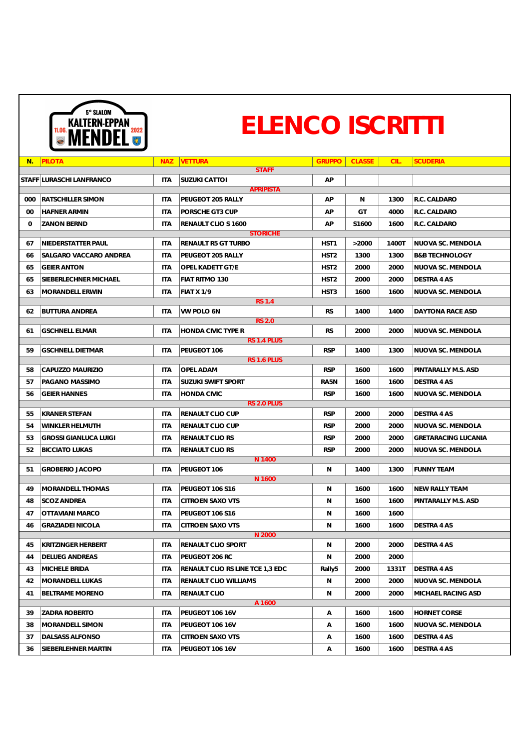| $N$ .            | <b>PILOTA</b>                | <b>NAZ</b> | <b>VETTURA</b><br><b>STAFF</b>   | <b>GRUPPO</b>    | <b>CLASSE</b> | CIL.  | <b>SCUDERIA</b>            |  |  |
|------------------|------------------------------|------------|----------------------------------|------------------|---------------|-------|----------------------------|--|--|
|                  | STAFF LURASCHI LANFRANCO     | <b>ITA</b> | <b>SUZUKI CATTOI</b>             | AP               |               |       |                            |  |  |
| <b>APRIPISTA</b> |                              |            |                                  |                  |               |       |                            |  |  |
| 000              | <b>RATSCHILLER SIMON</b>     | <b>ITA</b> | PEUGEOT 205 RALLY                | AP               | N             | 1300  | R.C. CALDARO               |  |  |
| $00\,$           | <b>HAFNER ARMIN</b>          | <b>ITA</b> | PORSCHE GT3 CUP                  | AP               | GT            | 4000  | R.C. CALDARO               |  |  |
| $\Omega$         | <b>ZANON BERND</b>           | <b>ITA</b> | RENAULT CLIO S 1600              | AP               | S1600         | 1600  | R.C. CALDARO               |  |  |
|                  |                              |            | <b>STORICHE</b>                  |                  |               |       |                            |  |  |
| 67               | NIEDERSTATTER PAUL           | <b>ITA</b> | <b>RENAULT R5 GT TURBO</b>       | HST1             | >2000         | 1400T | <b>NUOVA SC. MENDOLA</b>   |  |  |
| 66               | SALGARO VACCARO ANDREA       | <b>ITA</b> | PEUGEOT 205 RALLY                | HST <sub>2</sub> | 1300          | 1300  | <b>B&amp;B TECHNOLOGY</b>  |  |  |
| 65               | <b>GEIER ANTON</b>           | <b>ITA</b> | OPEL KADETT GT/E                 | HST <sub>2</sub> | 2000          | 2000  | NUOVA SC. MENDOLA          |  |  |
| 65               | SIEBERLECHNER MICHAEL        | <b>ITA</b> | FIAT RITMO 130                   | HST <sub>2</sub> | 2000          | 2000  | <b>DESTRA 4 AS</b>         |  |  |
| 63               | MORANDELL ERWIN              | <b>ITA</b> | <b>FIAT X 1/9</b>                | HST <sub>3</sub> | 1600          | 1600  | NUOVA SC. MENDOLA          |  |  |
|                  |                              |            | <b>RS 1.4</b>                    |                  |               |       |                            |  |  |
| 62               | <b>BUTTURA ANDREA</b>        | <b>ITA</b> | VW POLO 6N<br><b>RS 2.0</b>      | <b>RS</b>        | 1400          | 1400  | DAYTONA RACE ASD           |  |  |
| 61               | <b>GSCHNELL ELMAR</b>        | <b>ITA</b> | HONDA CIVIC TYPE R               | <b>RS</b>        | 2000          | 2000  | NUOVA SC. MENDOLA          |  |  |
|                  |                              |            | RS 1.4 PLUS                      |                  |               |       |                            |  |  |
| 59               | <b>GSCHNELL DIETMAR</b>      | <b>ITA</b> | PEUGEOT 106                      | <b>RSP</b>       | 1400          | 1300  | NUOVA SC. MENDOLA          |  |  |
|                  |                              |            | RS 1.6 PLUS                      |                  |               |       |                            |  |  |
| 58               | CAPUZZO MAURIZIO             | <b>ITA</b> | <b>OPEL ADAM</b>                 | <b>RSP</b>       | 1600          | 1600  | PINTARALLY M.S. ASD        |  |  |
| 57               | PAGANO MASSIMO               | ITA        | <b>SUZUKI SWIFT SPORT</b>        | RA5N             | 1600          | 1600  | DESTRA 4 AS                |  |  |
| 56               | <b>GEIER HANNES</b>          | ITA        | <b>HONDA CIVIC</b>               | <b>RSP</b>       | 1600          | 1600  | <b>NUOVA SC. MENDOLA</b>   |  |  |
| 55               |                              |            | RS 2.0 PLUS<br>RENAULT CLIO CUP  | <b>RSP</b>       |               | 2000  |                            |  |  |
|                  | <b>KRANER STEFAN</b>         | ITA        |                                  |                  | 2000          |       | DESTRA 4 AS                |  |  |
| 54               | WINKLER HELMUTH              | ITA        | RENAULT CLIO CUP                 | <b>RSP</b>       | 2000          | 2000  | NUOVA SC. MENDOLA          |  |  |
| 53               | <b>GROSSI GIANLUCA LUIGI</b> | ITA        | <b>RENAULT CLIO RS</b>           | <b>RSP</b>       | 2000          | 2000  | <b>GRETARACING LUCANIA</b> |  |  |
| 52               | <b>BICCIATO LUKAS</b>        | ITA.       | <b>RENAULT CLIO RS</b><br>N 1400 | <b>RSP</b>       | 2000          | 2000  | NUOVA SC. MENDOLA          |  |  |
| 51               | <b>GROBERIO JACOPO</b>       | <b>ITA</b> | PEUGEOT 106                      | N                | 1400          | 1300  | <b>FUNNY TEAM</b>          |  |  |
|                  |                              |            | N 1600                           |                  |               |       |                            |  |  |
| 49               | MORANDELL THOMAS             | ITA        | PEUGEOT 106 S16                  | N                | 1600          | 1600  | <b>NEW RALLY TEAM</b>      |  |  |
| 48               | <b>SCOZ ANDREA</b>           | ITA        | <b>CITROEN SAXO VTS</b>          | N                | 1600          | 1600  | PINTARALLY M.S. ASD        |  |  |
| 47               | OTTAVIANI MARCO              | ITA        | PEUGEOT 106 S16                  | N                | 1600          | 1600  |                            |  |  |
| 46               | <b>GRAZIADEI NICOLA</b>      | <b>ITA</b> | <b>CITROEN SAXO VTS</b>          | N                | 1600          | 1600  | <b>DESTRA 4 AS</b>         |  |  |
|                  |                              |            | N 2000                           |                  |               |       |                            |  |  |
| 45               | KRITZINGER HERBERT           | <b>ITA</b> | <b>RENAULT CLIO SPORT</b>        | $\mathsf{N}$     | 2000          | 2000  | DESTRA 4 AS                |  |  |
| 44               | <b>DELUEG ANDREAS</b>        | ITA        | PEUGEOT 206 RC                   | N                | 2000          | 2000  |                            |  |  |
| 43               | MICHELE BRIDA                | ITA        | RENAULT CLIO RS LINE TCE 1,3 EDC | Rally5           | 2000          | 1331T | DESTRA 4 AS                |  |  |
| 42               | MORANDELL LUKAS              | ITA        | <b>RENAULT CLIO WILLIAMS</b>     | $\mathsf{N}$     | 2000          | 2000  | NUOVA SC. MENDOLA          |  |  |
| 41               | <b>BELTRAME MORENO</b>       | ITA        | <b>RENAULT CLIO</b>              | N                | 2000          | 2000  | MICHAEL RACING ASD         |  |  |
|                  |                              |            | A 1600                           |                  |               |       |                            |  |  |
| 39               | <b>ZADRA ROBERTO</b>         | ITA        | PEUGEOT 106 16V                  | $\mathsf{A}$     | 1600          | 1600  | <b>HORNET CORSE</b>        |  |  |
| 38               | MORANDELL SIMON              | <b>ITA</b> | PEUGEOT 106 16V                  | $\mathsf{A}$     | 1600          | 1600  | NUOVA SC. MENDOLA          |  |  |
| 37               | DALSASS ALFONSO              | <b>ITA</b> | <b>CITROEN SAXO VTS</b>          | A                | 1600          | 1600  | DESTRA 4 AS                |  |  |
| 36               | <b>SIEBERLEHNER MARTIN</b>   | <b>ITA</b> | PEUGEOT 106 16V                  | $\mathsf{A}$     | 1600          | 1600  | <b>DESTRA 4 AS</b>         |  |  |



## ELENCO ISCRITTI